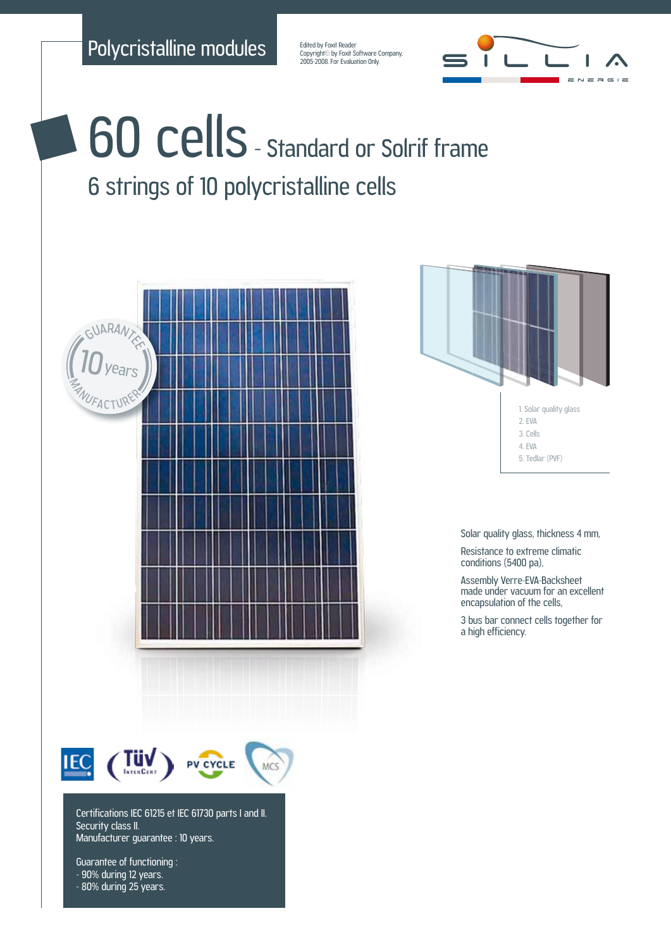Polycristalline modules

Edited by Foxit Reader Copyright<sup>©</sup> by Foxit Software Company, 2005-2008. For Evaluation Only.



## 60 cells - Standard or Solrif frame 6 strings of 10 polycristalline cells



Guarantee of functioning : - 90% during 12 years. - 80% during 25 years.